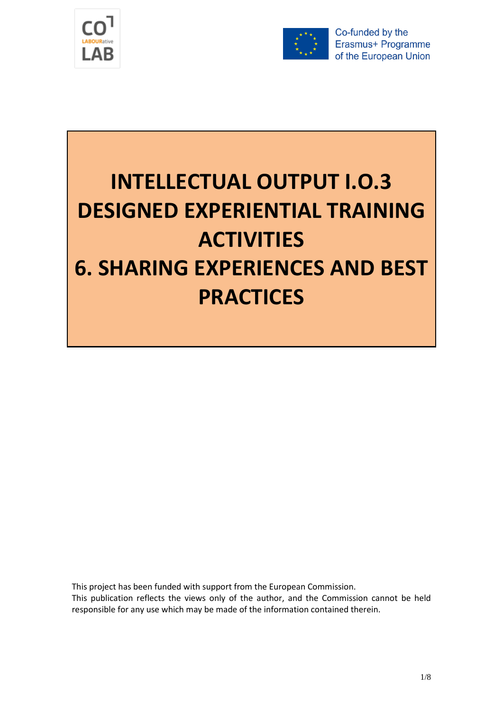



Co-funded by the Erasmus+ Programme of the European Union

## **INTELLECTUAL OUTPUT I.O.3 DESIGNED EXPERIENTIAL TRAINING ACTIVITIES 6. SHARING EXPERIENCES AND BEST PRACTICES**

This project has been funded with support from the European Commission.

This publication reflects the views only of the author, and the Commission cannot be held responsible for any use which may be made of the information contained therein.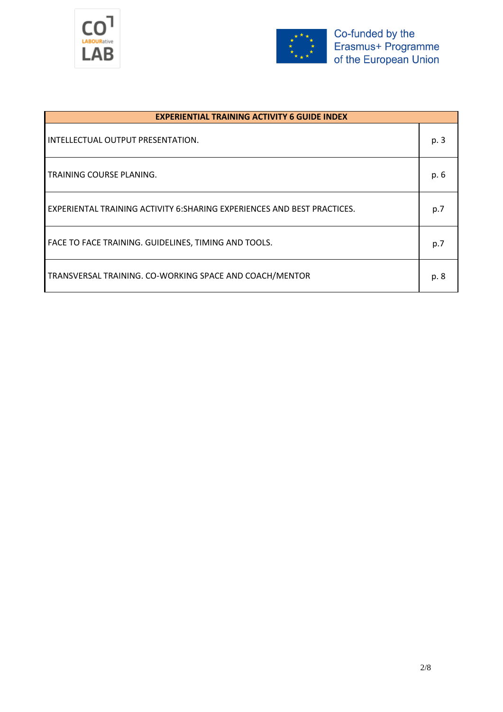



| <b>EXPERIENTIAL TRAINING ACTIVITY 6 GUIDE INDEX</b>                      |      |  |  |  |
|--------------------------------------------------------------------------|------|--|--|--|
| INTELLECTUAL OUTPUT PRESENTATION.                                        | p. 3 |  |  |  |
| TRAINING COURSE PLANING.                                                 | p. 6 |  |  |  |
| EXPERIENTAL TRAINING ACTIVITY 6: SHARING EXPERIENCES AND BEST PRACTICES. | p.7  |  |  |  |
| FACE TO FACE TRAINING. GUIDELINES, TIMING AND TOOLS.                     | p.7  |  |  |  |
| TRANSVERSAL TRAINING. CO-WORKING SPACE AND COACH/MENTOR                  | p. 8 |  |  |  |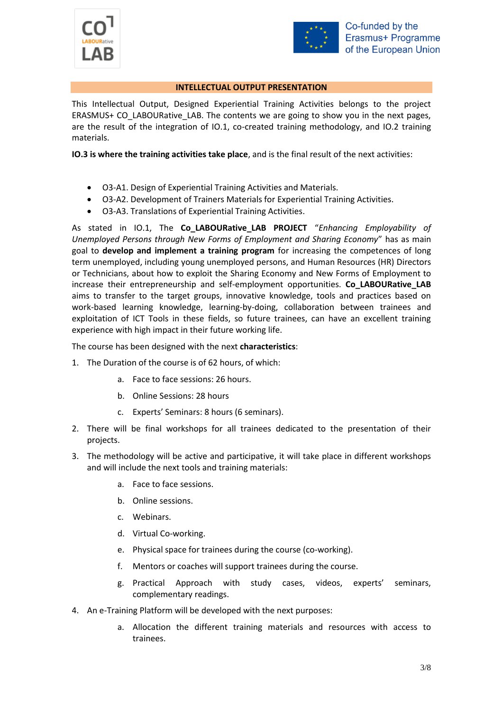



## **INTELLECTUAL OUTPUT PRESENTATION**

This Intellectual Output, Designed Experiential Training Activities belongs to the project ERASMUS+ CO\_LABOURative\_LAB. The contents we are going to show you in the next pages, are the result of the integration of IO.1, co-created training methodology, and IO.2 training materials.

**IO.3 is where the training activities take place**, and is the final result of the next activities:

- O3-A1. Design of Experiential Training Activities and Materials.
- O3-A2. Development of Trainers Materials for Experiential Training Activities.
- O3-A3. Translations of Experiential Training Activities.

As stated in IO.1, The **Co\_LABOURative\_LAB PROJECT** "*Enhancing Employability of Unemployed Persons through New Forms of Employment and Sharing Economy*" has as main goal to **develop and implement a training program** for increasing the competences of long term unemployed, including young unemployed persons, and Human Resources (HR) Directors or Technicians, about how to exploit the Sharing Economy and New Forms of Employment to increase their entrepreneurship and self-employment opportunities. **Co\_LABOURative\_LAB** aims to transfer to the target groups, innovative knowledge, tools and practices based on work-based learning knowledge, learning-by-doing, collaboration between trainees and exploitation of ICT Tools in these fields, so future trainees, can have an excellent training experience with high impact in their future working life.

The course has been designed with the next **characteristics**:

- 1. The Duration of the course is of 62 hours, of which:
	- a. Face to face sessions: 26 hours.
	- b. Online Sessions: 28 hours
	- c. Experts' Seminars: 8 hours (6 seminars).
- 2. There will be final workshops for all trainees dedicated to the presentation of their projects.
- 3. The methodology will be active and participative, it will take place in different workshops and will include the next tools and training materials:
	- a. Face to face sessions.
	- b. Online sessions.
	- c. Webinars.
	- d. Virtual Co-working.
	- e. Physical space for trainees during the course (co-working).
	- f. Mentors or coaches will support trainees during the course.
	- g. Practical Approach with study cases, videos, experts' seminars, complementary readings.
- 4. An e-Training Platform will be developed with the next purposes:
	- a. Allocation the different training materials and resources with access to trainees.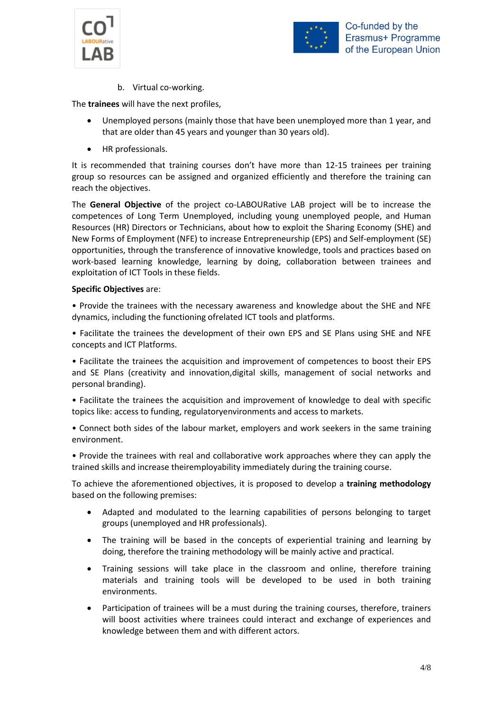



b. Virtual co-working.

The **trainees** will have the next profiles,

- Unemployed persons (mainly those that have been unemployed more than 1 year, and that are older than 45 years and younger than 30 years old).
- HR professionals.

It is recommended that training courses don't have more than 12-15 trainees per training group so resources can be assigned and organized efficiently and therefore the training can reach the objectives.

The **General Objective** of the project co-LABOURative LAB project will be to increase the competences of Long Term Unemployed, including young unemployed people, and Human Resources (HR) Directors or Technicians, about how to exploit the Sharing Economy (SHE) and New Forms of Employment (NFE) to increase Entrepreneurship (EPS) and Self-employment (SE) opportunities, through the transference of innovative knowledge, tools and practices based on work-based learning knowledge, learning by doing, collaboration between trainees and exploitation of ICT Tools in these fields.

## **Specific Objectives** are:

• Provide the trainees with the necessary awareness and knowledge about the SHE and NFE dynamics, including the functioning ofrelated ICT tools and platforms.

• Facilitate the trainees the development of their own EPS and SE Plans using SHE and NFE concepts and ICT Platforms.

• Facilitate the trainees the acquisition and improvement of competences to boost their EPS and SE Plans (creativity and innovation,digital skills, management of social networks and personal branding).

• Facilitate the trainees the acquisition and improvement of knowledge to deal with specific topics like: access to funding, regulatoryenvironments and access to markets.

• Connect both sides of the labour market, employers and work seekers in the same training environment.

• Provide the trainees with real and collaborative work approaches where they can apply the trained skills and increase theiremployability immediately during the training course.

To achieve the aforementioned objectives, it is proposed to develop a **training methodology** based on the following premises:

- Adapted and modulated to the learning capabilities of persons belonging to target groups (unemployed and HR professionals).
- The training will be based in the concepts of experiential training and learning by doing, therefore the training methodology will be mainly active and practical.
- Training sessions will take place in the classroom and online, therefore training materials and training tools will be developed to be used in both training environments.
- Participation of trainees will be a must during the training courses, therefore, trainers will boost activities where trainees could interact and exchange of experiences and knowledge between them and with different actors.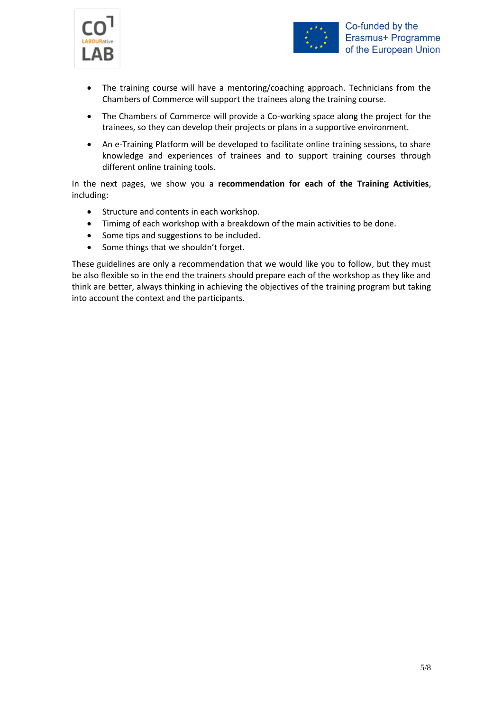



- The training course will have a mentoring/coaching approach. Technicians from the Chambers of Commerce will support the trainees along the training course.
- The Chambers of Commerce will provide a Co-working space along the project for the trainees, so they can develop their projects or plans in a supportive environment.
- An e-Training Platform will be developed to facilitate online training sessions, to share knowledge and experiences of trainees and to support training courses through different online training tools.

In the next pages, we show you a **recommendation for each of the Training Activities**, including:

- Structure and contents in each workshop.
- Timimg of each workshop with a breakdown of the main activities to be done.
- Some tips and suggestions to be included.
- Some things that we shouldn't forget.

These guidelines are only a recommendation that we would like you to follow, but they must be also flexible so in the end the trainers should prepare each of the workshop as they like and think are better, always thinking in achieving the objectives of the training program but taking into account the context and the participants.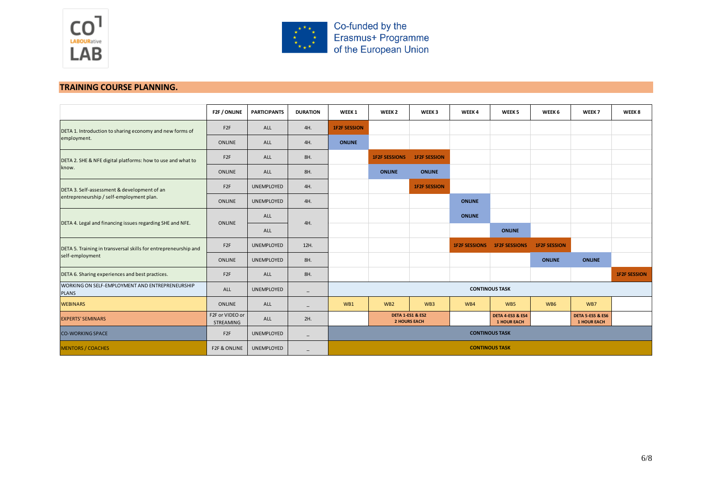



Co-funded by the<br>Erasmus+ Programme<br>of the European Union

## **TRAINING COURSE PLANNING.**

|                                                                                         | F2F / ONLINE                 | <b>PARTICIPANTS</b> | <b>DURATION</b>          | WEEK <sub>1</sub>     | WEEK <sub>2</sub>                                  | WEEK3               | WEEK4                | WEEK <sub>5</sub>                                 | WEEK 6              | WEEK 7                                            | WEEK 8              |
|-----------------------------------------------------------------------------------------|------------------------------|---------------------|--------------------------|-----------------------|----------------------------------------------------|---------------------|----------------------|---------------------------------------------------|---------------------|---------------------------------------------------|---------------------|
| DETA 1. Introduction to sharing economy and new forms of<br>employment.                 | F <sub>2F</sub>              | ALL                 | 4H.                      | <b>1F2F SESSION</b>   |                                                    |                     |                      |                                                   |                     |                                                   |                     |
|                                                                                         | ONLINE                       | ALL                 | 4H.                      | <b>ONLINE</b>         |                                                    |                     |                      |                                                   |                     |                                                   |                     |
| DETA 2. SHE & NFE digital platforms: how to use and what to<br>know.                    | F <sub>2F</sub>              | ALL                 | 8H.                      |                       | <b>1F2F SESSIONS</b>                               | <b>1F2F SESSION</b> |                      |                                                   |                     |                                                   |                     |
|                                                                                         | ONLINE                       | ALL                 | 8H.                      |                       | <b>ONLINE</b>                                      | <b>ONLINE</b>       |                      |                                                   |                     |                                                   |                     |
| DETA 3. Self-assessment & development of an<br>entrepreneurship / self-employment plan. | F <sub>2F</sub>              | UNEMPLOYED          | 4H.                      |                       |                                                    | <b>1F2F SESSION</b> |                      |                                                   |                     |                                                   |                     |
|                                                                                         | ONLINE                       | UNEMPLOYED          | 4H.                      |                       |                                                    |                     | <b>ONLINE</b>        |                                                   |                     |                                                   |                     |
| DETA 4. Legal and financing issues regarding SHE and NFE.                               | ONLINE                       | ALL                 | 4H.                      |                       |                                                    |                     | <b>ONLINE</b>        |                                                   |                     |                                                   |                     |
|                                                                                         |                              | ALL                 |                          |                       |                                                    |                     |                      | <b>ONLINE</b>                                     |                     |                                                   |                     |
| DETA 5. Training in transversal skills for entrepreneurship and<br>self-employment      | F <sub>2F</sub>              | UNEMPLOYED          | 12H.                     |                       |                                                    |                     | <b>1F2F SESSIONS</b> | <b>1F2F SESSIONS</b>                              | <b>1F2F SESSION</b> |                                                   |                     |
|                                                                                         | ONLINE                       | UNEMPLOYED          | 8H.                      |                       |                                                    |                     |                      |                                                   | <b>ONLINE</b>       | <b>ONLINE</b>                                     |                     |
| DETA 6. Sharing experiences and best practices.                                         | F <sub>2F</sub>              | ALL                 | 8H.                      |                       |                                                    |                     |                      |                                                   |                     |                                                   | <b>1F2F SESSION</b> |
| WORKING ON SELF-EMPLOYMENT AND ENTREPRENEURSHIP<br><b>PLANS</b>                         | ALL                          | <b>UNEMPLOYED</b>   | $\qquad \qquad -$        | <b>CONTINOUS TASK</b> |                                                    |                     |                      |                                                   |                     |                                                   |                     |
| <b>WEBINARS</b>                                                                         | ONLINE                       | ALL                 | $\overline{\phantom{m}}$ | WB1                   | WB <sub>2</sub>                                    | WB <sub>3</sub>     | WB4                  | WB5                                               | WB6                 | WB7                                               |                     |
| <b>EXPERTS' SEMINARS</b>                                                                | F2F or VIDEO or<br>STREAMING | ALL                 | 2H.                      |                       | <b>DETA 1-ES1 &amp; ES2</b><br><b>2 HOURS EACH</b> |                     |                      | <b>DETA 4-ES3 &amp; ES4</b><br><b>1 HOUR EACH</b> |                     | <b>DETA 5-ES5 &amp; ES6</b><br><b>1 HOUR EACH</b> |                     |
| <b>CO-WORKING SPACE</b>                                                                 | F <sub>2F</sub>              | UNEMPLOYED          | $\overline{\phantom{0}}$ | <b>CONTINOUS TASK</b> |                                                    |                     |                      |                                                   |                     |                                                   |                     |
| <b>MENTORS / COACHES</b>                                                                | F2F & ONLINE                 | UNEMPLOYED          | -                        | <b>CONTINOUS TASK</b> |                                                    |                     |                      |                                                   |                     |                                                   |                     |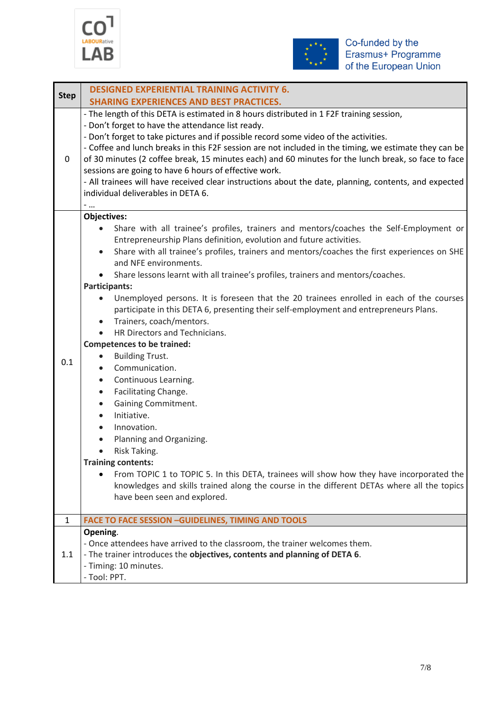



| <b>Step</b>  | <b>DESIGNED EXPERIENTIAL TRAINING ACTIVITY 6.</b>                                                                                                                                                                                                                                                                                                                                                                                                                                                                                                                                                                                                                                                                                                                                                                                                                                                                                                                                                                                                                                                                                                                                                                                                                                                                    |  |  |  |  |  |  |  |
|--------------|----------------------------------------------------------------------------------------------------------------------------------------------------------------------------------------------------------------------------------------------------------------------------------------------------------------------------------------------------------------------------------------------------------------------------------------------------------------------------------------------------------------------------------------------------------------------------------------------------------------------------------------------------------------------------------------------------------------------------------------------------------------------------------------------------------------------------------------------------------------------------------------------------------------------------------------------------------------------------------------------------------------------------------------------------------------------------------------------------------------------------------------------------------------------------------------------------------------------------------------------------------------------------------------------------------------------|--|--|--|--|--|--|--|
|              | <b>SHARING EXPERIENCES AND BEST PRACTICES.</b>                                                                                                                                                                                                                                                                                                                                                                                                                                                                                                                                                                                                                                                                                                                                                                                                                                                                                                                                                                                                                                                                                                                                                                                                                                                                       |  |  |  |  |  |  |  |
| 0            | - The length of this DETA is estimated in 8 hours distributed in 1 F2F training session,<br>- Don't forget to have the attendance list ready.<br>- Don't forget to take pictures and if possible record some video of the activities.<br>- Coffee and lunch breaks in this F2F session are not included in the timing, we estimate they can be<br>of 30 minutes (2 coffee break, 15 minutes each) and 60 minutes for the lunch break, so face to face<br>sessions are going to have 6 hours of effective work.<br>- All trainees will have received clear instructions about the date, planning, contents, and expected<br>individual deliverables in DETA 6.<br>-                                                                                                                                                                                                                                                                                                                                                                                                                                                                                                                                                                                                                                                   |  |  |  |  |  |  |  |
|              | <b>Objectives:</b>                                                                                                                                                                                                                                                                                                                                                                                                                                                                                                                                                                                                                                                                                                                                                                                                                                                                                                                                                                                                                                                                                                                                                                                                                                                                                                   |  |  |  |  |  |  |  |
| 0.1          | Share with all trainee's profiles, trainers and mentors/coaches the Self-Employment or<br>$\bullet$<br>Entrepreneurship Plans definition, evolution and future activities.<br>Share with all trainee's profiles, trainers and mentors/coaches the first experiences on SHE<br>$\bullet$<br>and NFE environments.<br>Share lessons learnt with all trainee's profiles, trainers and mentors/coaches.<br>$\bullet$<br><b>Participants:</b><br>Unemployed persons. It is foreseen that the 20 trainees enrolled in each of the courses<br>$\bullet$<br>participate in this DETA 6, presenting their self-employment and entrepreneurs Plans.<br>Trainers, coach/mentors.<br>$\bullet$<br>HR Directors and Technicians.<br><b>Competences to be trained:</b><br><b>Building Trust.</b><br>$\bullet$<br>Communication.<br>$\bullet$<br>Continuous Learning.<br>$\bullet$<br>Facilitating Change.<br>$\bullet$<br>Gaining Commitment.<br>$\bullet$<br>Initiative.<br>$\bullet$<br>Innovation.<br>$\bullet$<br>Planning and Organizing.<br>$\bullet$<br>Risk Taking.<br><b>Training contents:</b><br>From TOPIC 1 to TOPIC 5. In this DETA, trainees will show how they have incorporated the<br>knowledges and skills trained along the course in the different DETAs where all the topics<br>have been seen and explored. |  |  |  |  |  |  |  |
| $\mathbf{1}$ | <b>FACE TO FACE SESSION - GUIDELINES, TIMING AND TOOLS</b>                                                                                                                                                                                                                                                                                                                                                                                                                                                                                                                                                                                                                                                                                                                                                                                                                                                                                                                                                                                                                                                                                                                                                                                                                                                           |  |  |  |  |  |  |  |
|              | Opening.                                                                                                                                                                                                                                                                                                                                                                                                                                                                                                                                                                                                                                                                                                                                                                                                                                                                                                                                                                                                                                                                                                                                                                                                                                                                                                             |  |  |  |  |  |  |  |
| 1.1          | - Once attendees have arrived to the classroom, the trainer welcomes them.<br>- The trainer introduces the objectives, contents and planning of DETA 6.<br>- Timing: 10 minutes.<br>- Tool: PPT.                                                                                                                                                                                                                                                                                                                                                                                                                                                                                                                                                                                                                                                                                                                                                                                                                                                                                                                                                                                                                                                                                                                     |  |  |  |  |  |  |  |